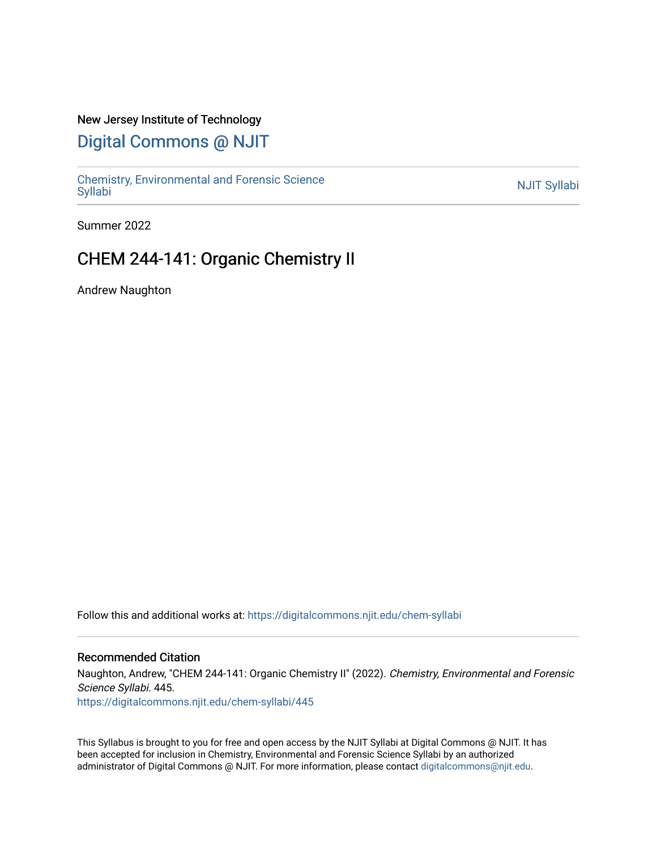#### New Jersey Institute of Technology

# [Digital Commons @ NJIT](https://digitalcommons.njit.edu/)

Chemistry, Environmental and Forensic Science<br>Syllabi

Summer 2022

# CHEM 244-141: Organic Chemistry II

Andrew Naughton

Follow this and additional works at: [https://digitalcommons.njit.edu/chem-syllabi](https://digitalcommons.njit.edu/chem-syllabi?utm_source=digitalcommons.njit.edu%2Fchem-syllabi%2F445&utm_medium=PDF&utm_campaign=PDFCoverPages) 

#### Recommended Citation

Naughton, Andrew, "CHEM 244-141: Organic Chemistry II" (2022). Chemistry, Environmental and Forensic Science Syllabi. 445.

[https://digitalcommons.njit.edu/chem-syllabi/445](https://digitalcommons.njit.edu/chem-syllabi/445?utm_source=digitalcommons.njit.edu%2Fchem-syllabi%2F445&utm_medium=PDF&utm_campaign=PDFCoverPages) 

This Syllabus is brought to you for free and open access by the NJIT Syllabi at Digital Commons @ NJIT. It has been accepted for inclusion in Chemistry, Environmental and Forensic Science Syllabi by an authorized administrator of Digital Commons @ NJIT. For more information, please contact [digitalcommons@njit.edu.](mailto:digitalcommons@njit.edu)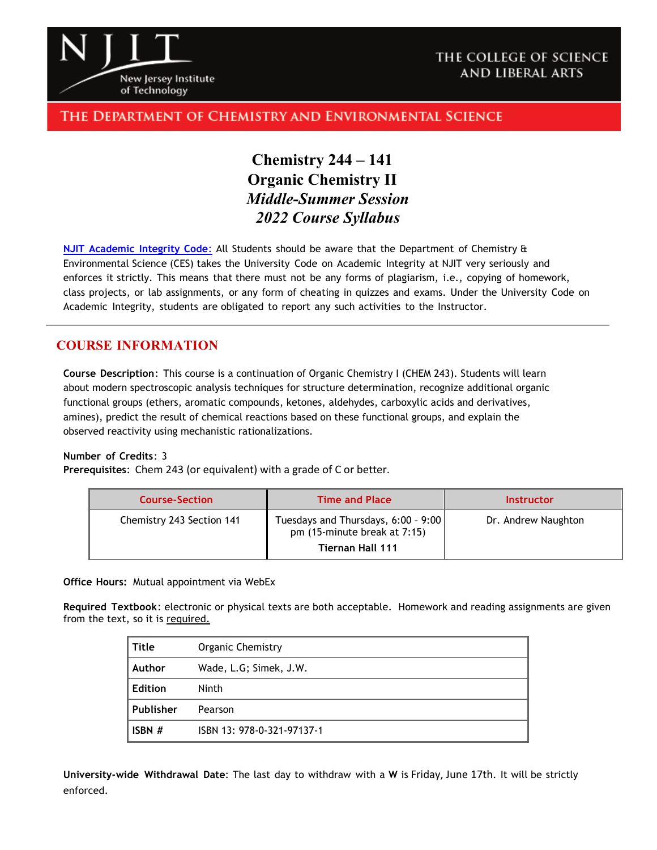

### THE COLLEGE OF SCIENCE AND LIBERAL ARTS

### The Department of Chemistry and Environmental Science

# **Chemistry 244 – 141 Organic Chemistry II**  *Middle-Summer Session 2022 Course Syllabus*

**NJIT [Academic](https://www.njit.edu/policies/sites/policies/files/academic-integrity-code.pdf) Integrity Code**: All Students should be aware that the Department of Chemistry & Environmental Science (CES) takes the University Code on Academic Integrity at NJIT very seriously and enforces it strictly. This means that there must not be any forms of plagiarism, i.e., copying of homework, class projects, or lab assignments, or any form of cheating in quizzes and exams. Under the University Code on Academic Integrity, students are obligated to report any such activities to the Instructor.

### **COURSE INFORMATION**

**Course Description**: This course is a continuation of Organic Chemistry I (CHEM 243). Students will learn about modern spectroscopic analysis techniques for structure determination, recognize additional organic functional groups (ethers, aromatic compounds, ketones, aldehydes, carboxylic acids and derivatives, amines), predict the result of chemical reactions based on these functional groups, and explain the observed reactivity using mechanistic rationalizations.

#### **Number of Credits**: 3

**Prerequisites**: Chem 243 (or equivalent) with a grade of C or better.

| <b>Course-Section</b>     | <b>Time and Place</b>                                               | <b>Instructor</b>   |
|---------------------------|---------------------------------------------------------------------|---------------------|
| Chemistry 243 Section 141 | Tuesdays and Thursdays, 6:00 - 9:00<br>pm (15-minute break at 7:15) | Dr. Andrew Naughton |
|                           | <b>Tiernan Hall 111</b>                                             |                     |

**Office Hours:** Mutual appointment via WebEx

**Required Textbook**: electronic or physical texts are both acceptable. Homework and reading assignments are given from the text, so it is required.

| Title          | Organic Chemistry          |  |
|----------------|----------------------------|--|
| Author         | Wade, L.G; Simek, J.W.     |  |
| <b>Edition</b> | Ninth                      |  |
| Publisher      | Pearson                    |  |
| ISBN #         | ISBN 13: 978-0-321-97137-1 |  |

**University-wide Withdrawal Date**: The last day to withdraw with a **W** is Friday, June 17th. It will be strictly enforced.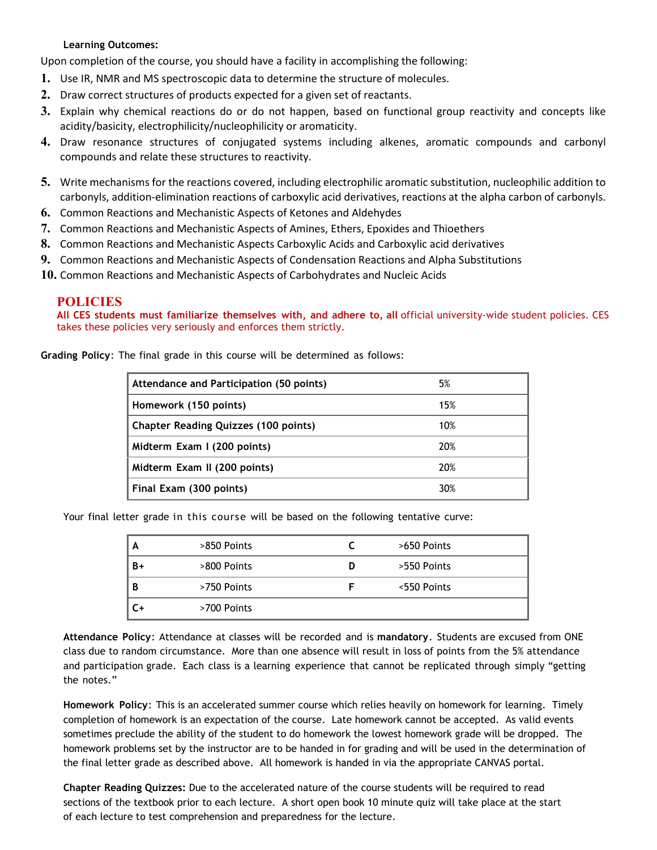#### **Learning Outcomes:**

Upon completion of the course, you should have a facility in accomplishing the following:

- **1.** Use IR, NMR and MS spectroscopic data to determine the structure of molecules.
- **2.** Draw correct structures of products expected for a given set of reactants.
- **3.** Explain why chemical reactions do or do not happen, based on functional group reactivity and concepts like acidity/basicity, electrophilicity/nucleophilicity or aromaticity.
- **4.** Draw resonance structures of conjugated systems including alkenes, aromatic compounds and carbonyl compounds and relate these structures to reactivity.
- **5.** Write mechanisms for the reactions covered, including electrophilic aromatic substitution, nucleophilic addition to carbonyls, addition-elimination reactions of carboxylic acid derivatives, reactions at the alpha carbon of carbonyls.
- **6.** Common Reactions and Mechanistic Aspects of Ketones and Aldehydes
- **7.** Common Reactions and Mechanistic Aspects of Amines, Ethers, Epoxides and Thioethers
- **8.** Common Reactions and Mechanistic Aspects Carboxylic Acids and Carboxylic acid derivatives
- **9.** Common Reactions and Mechanistic Aspects of Condensation Reactions and Alpha Substitutions
- **10.** Common Reactions and Mechanistic Aspects of Carbohydrates and Nucleic Acids

#### **POLICIES**

**All CES students must familiarize themselves with, and adhere to, all** official university-wide student policies. CES takes these policies very seriously and enforces them strictly.

| Attendance and Participation (50 points)    | 5%  |
|---------------------------------------------|-----|
| Homework (150 points)                       | 15% |
| <b>Chapter Reading Quizzes (100 points)</b> | 10% |
| Midterm Exam I (200 points)                 | 20% |
| Midterm Exam II (200 points)                | 20% |
| Final Exam (300 points)                     | 30% |

**Grading Policy**: The final grade in this course will be determined as follows:

Your final letter grade in this course will be based on the following tentative curve:

| A  | >850 Points |     | >650 Points |
|----|-------------|-----|-------------|
| B+ | >800 Points | ⊟ D | >550 Points |
| В  | >750 Points |     | <550 Points |
|    | >700 Points |     |             |

**Attendance Policy**: Attendance at classes will be recorded and is **mandatory**. Students are excused from ONE class due to random circumstance. More than one absence will result in loss of points from the 5% attendance and participation grade. Each class is a learning experience that cannot be replicated through simply "getting the notes."

**Homework Policy**: This is an accelerated summer course which relies heavily on homework for learning. Timely completion of homework is an expectation of the course. Late homework cannot be accepted. As valid events sometimes preclude the ability of the student to do homework the lowest homework grade will be dropped. The homework problems set by the instructor are to be handed in for grading and will be used in the determination of the final letter grade as described above. All homework is handed in via the appropriate CANVAS portal.

**Chapter Reading Quizzes:** Due to the accelerated nature of the course students will be required to read sections of the textbook prior to each lecture. A short open book 10 minute quiz will take place at the start of each lecture to test comprehension and preparedness for the lecture.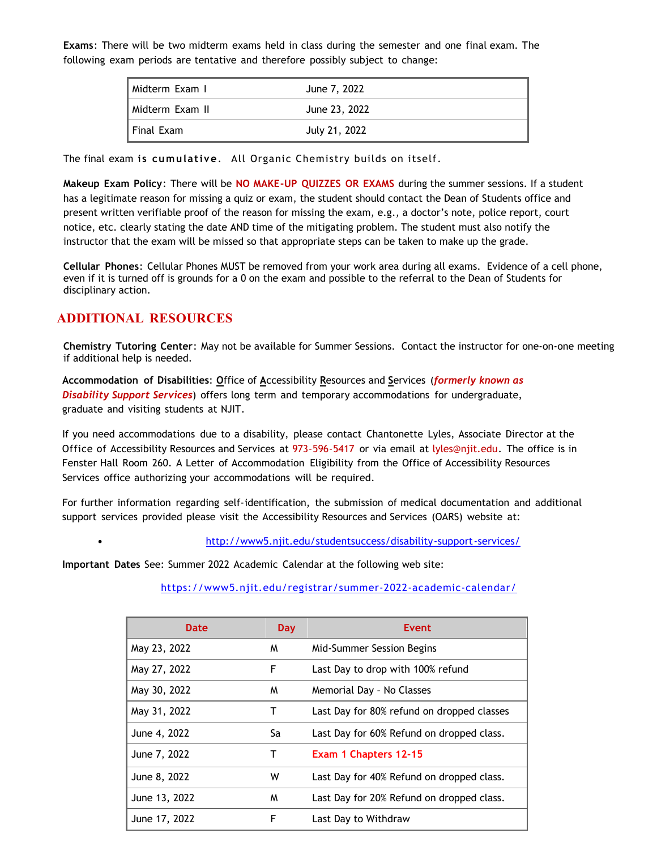**Exams**: There will be two midterm exams held in class during the semester and one final exam. The following exam periods are tentative and therefore possibly subject to change:

| l Midterm Exam I  | June 7, 2022  |
|-------------------|---------------|
| l Midterm Exam II | June 23, 2022 |
| I Final Exam      | July 21, 2022 |

The final exam **is cumulative**. All Organic Chemistry builds on itself.

**Makeup Exam Policy**: There will be **NO MAKE-UP QUIZZES OR EXAMS** during the summer sessions. If a student has a legitimate reason for missing a quiz or exam, the student should contact the Dean of Students office and present written verifiable proof of the reason for missing the exam, e.g., a doctor's note, police report, court notice, etc. clearly stating the date AND time of the mitigating problem. The student must also notify the instructor that the exam will be missed so that appropriate steps can be taken to make up the grade.

**Cellular Phones**: Cellular Phones MUST be removed from your work area during all exams. Evidence of a cell phone, even if it is turned off is grounds for a 0 on the exam and possible to the referral to the Dean of Students for disciplinary action.

### **ADDITIONAL RESOURCES**

 $\bullet$ 

**Chemistry Tutoring Center**: May not be available for Summer Sessions. Contact the instructor for one-on-one meeting if additional help is needed.

**Accommodation of Disabilities**: **O**ffice of **A**ccessibility **R**esources and **S**ervices (*formerly known as Disability Support Services*) offers long term and temporary accommodations for undergraduate, graduate and visiting students at NJIT.

If you need accommodations due to a disability, please contact Chantonette Lyles, Associate Director at the Office of Accessibility Resources and Services at 973-596-5417 or via email at [lyles@njit.edu.](mailto:lyles@njit.edu) The office is in Fenster Hall Room 260. A Letter of Accommodation Eligibility from the Office of Accessibility Resources Services office authorizing your accommodations will be required.

For further information regarding self-identification, the submission of medical documentation and additional support services provided please visit the Accessibility Resources and Services (OARS) website at:

[http://www5.njit.edu/studentsuccess/disability-support -services/](http://www.njit.edu/studentsuccess/accessibility/)

**Important Dates** See: Summer 2022 Academic Calendar at the following web site:

<https://www5.njit.edu/registrar/summer-2022-academic-calendar/>

| Date          | Day | <b>Event</b>                               |
|---------------|-----|--------------------------------------------|
| May 23, 2022  | M   | Mid-Summer Session Begins                  |
| May 27, 2022  | F   | Last Day to drop with 100% refund          |
| May 30, 2022  | M   | Memorial Day - No Classes                  |
| May 31, 2022  | т   | Last Day for 80% refund on dropped classes |
| June 4, 2022  | Sa  | Last Day for 60% Refund on dropped class.  |
| June 7, 2022  | т   | Exam 1 Chapters 12-15                      |
| June 8, 2022  | w   | Last Day for 40% Refund on dropped class.  |
| June 13, 2022 | M   | Last Day for 20% Refund on dropped class.  |
| June 17, 2022 | F   | Last Day to Withdraw                       |